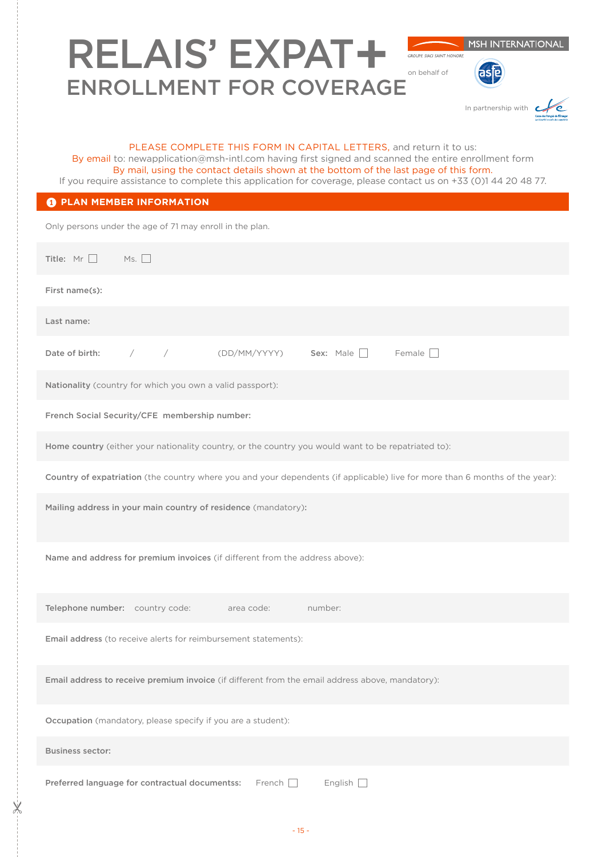| <b>MSH INTERNATIONAL</b><br><b>RELAIS' EXPAT+</b><br><b>GROUPE SIACI SAINT HONORE</b><br>on behalf of<br><b>ENROLLMENT FOR COVERAGE</b>                                                                                                                                                                                                                                               |
|---------------------------------------------------------------------------------------------------------------------------------------------------------------------------------------------------------------------------------------------------------------------------------------------------------------------------------------------------------------------------------------|
| In partnership with                                                                                                                                                                                                                                                                                                                                                                   |
| PLEASE COMPLETE THIS FORM IN CAPITAL LETTERS, and return it to us:<br>By email to: newapplication@msh-intl.com having first signed and scanned the entire enrollment form<br>By mail, using the contact details shown at the bottom of the last page of this form.<br>If you require assistance to complete this application for coverage, please contact us on +33 (0)1 44 20 48 77. |
| <b>O PLAN MEMBER INFORMATION</b>                                                                                                                                                                                                                                                                                                                                                      |
| Only persons under the age of 71 may enroll in the plan.                                                                                                                                                                                                                                                                                                                              |
| Title: $Mr$<br>MS.                                                                                                                                                                                                                                                                                                                                                                    |
| First name(s):                                                                                                                                                                                                                                                                                                                                                                        |
| Last name:                                                                                                                                                                                                                                                                                                                                                                            |
| Sex: Male $\Box$<br>Female $\Box$<br>Date of birth:<br>$\sqrt{2}$<br>(DD/MM/YYYY)<br>$\bigg)$                                                                                                                                                                                                                                                                                         |
| Nationality (country for which you own a valid passport):                                                                                                                                                                                                                                                                                                                             |
| French Social Security/CFE membership number:                                                                                                                                                                                                                                                                                                                                         |
| Home country (either your nationality country, or the country you would want to be repatriated to):                                                                                                                                                                                                                                                                                   |
| Country of expatriation (the country where you and your dependents (if applicable) live for more than 6 months of the year):                                                                                                                                                                                                                                                          |
| Mailing address in your main country of residence (mandatory):                                                                                                                                                                                                                                                                                                                        |
| Name and address for premium invoices (if different from the address above):                                                                                                                                                                                                                                                                                                          |
| Telephone number: country code:<br>area code:<br>number:                                                                                                                                                                                                                                                                                                                              |
| Email address (to receive alerts for reimbursement statements):                                                                                                                                                                                                                                                                                                                       |
| Email address to receive premium invoice (if different from the email address above, mandatory):                                                                                                                                                                                                                                                                                      |
| Occupation (mandatory, please specify if you are a student):                                                                                                                                                                                                                                                                                                                          |
| <b>Business sector:</b>                                                                                                                                                                                                                                                                                                                                                               |
| Preferred language for contractual documentss:<br>$French$    <br>English $\Box$                                                                                                                                                                                                                                                                                                      |

 $-x^2$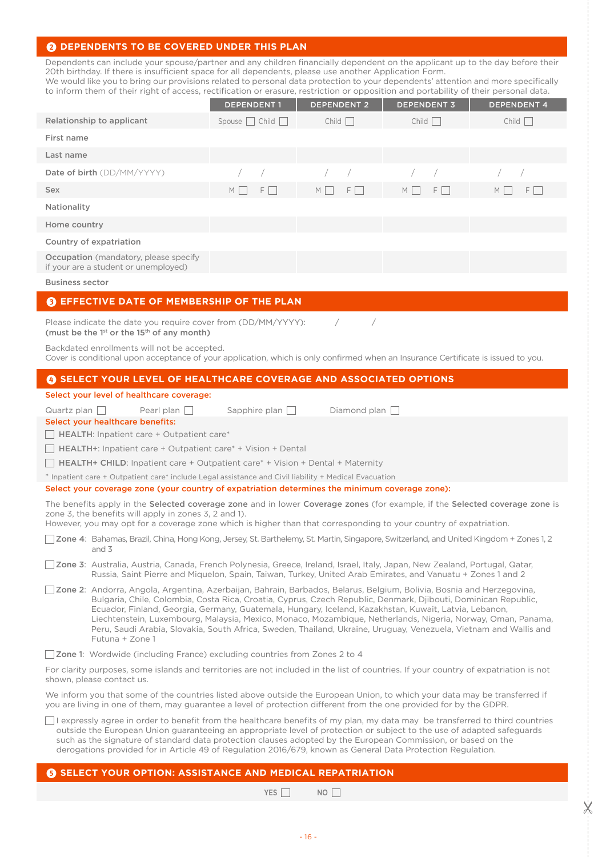## **2** DEPENDENTS TO BE COVERED UNDER THIS PLAN

Dependents can include your spouse/partner and any children financially dependent on the applicant up to the day before their 20th birthday. If there is insufficient space for all dependents, please use another Application Form.

We would like you to bring our provisions related to personal data protection to your dependents' attention and more specifically to inform them of their right of access, rectification or erasure, restriction or opposition and portability of their personal data.

|                                                                                      | <b>DEPENDENT1</b>          | <b>DEPENDENT 2</b> | <b>DEPENDENT 3</b> | <b>DEPENDENT 4</b>   |
|--------------------------------------------------------------------------------------|----------------------------|--------------------|--------------------|----------------------|
| Relationship to applicant                                                            | Spouse $\Box$ Child $\Box$ | Child              | Child              | Child                |
| First name                                                                           |                            |                    |                    |                      |
| Last name                                                                            |                            |                    |                    |                      |
| Date of birth (DD/MM/YYYY)                                                           |                            | $\sqrt{2}$         | $\sqrt{2}$         |                      |
| <b>Sex</b>                                                                           | $F \Box$<br>$M \mid \cdot$ | $F \Box$<br>M      | $M$  <br>$F \perp$ | $F \Box$<br>$M \mid$ |
| Nationality                                                                          |                            |                    |                    |                      |
| Home country                                                                         |                            |                    |                    |                      |
| Country of expatriation                                                              |                            |                    |                    |                      |
| <b>Occupation</b> (mandatory, please specify<br>if your are a student or unemployed) |                            |                    |                    |                      |

Business sector

### **<sup>6</sup>** EFFECTIVE DATE OF MEMBERSHIP OF THE PLAN

Please indicate the date you require cover from (DD/MM/YYYY): / / / (must be the  $1<sup>st</sup>$  or the  $15<sup>th</sup>$  of any month)

Backdated enrollments will not be accepted.

Cover is conditional upon acceptance of your application, which is only confirmed when an Insurance Certificate is issued to you.

### 4 **SELECT YOUR LEVEL OF HEALTHCARE COVERAGE AND ASSOCIATED OPTIONS**

### Select your level of healthcare coverage:

Quartz plan  $\Box$  Pearl plan  $\Box$  Sapphire plan  $\Box$  Diamond plan  $\Box$ 

Select your healthcare benefits:

 $\Box$  HEALTH: Inpatient care + Outpatient care\*

 $\Box$  HEALTH+: Inpatient care + Outpatient care\* + Vision + Dental

HEALTH+ CHILD: Inpatient care + Outpatient care\* + Vision + Dental + Maternity

\* Inpatient care + Outpatient care\* include Legal assistance and Civil liability + Medical Evacuation

#### Select your coverage zone (your country of expatriation determines the minimum coverage zone):

The benefits apply in the Selected coverage zone and in lower Coverage zones (for example, if the Selected coverage zone is zone 3, the benefits will apply in zones 3, 2 and 1).

However, you may opt for a coverage zone which is higher than that corresponding to your country of expatriation.

Zone 4: Bahamas, Brazil, China, Hong Kong, Jersey, St. Barthelemy, St. Martin, Singapore, Switzerland, and United Kingdom + Zones 1, 2 and 3

Zone 3: Australia, Austria, Canada, French Polynesia, Greece, Ireland, Israel, Italy, Japan, New Zealand, Portugal, Qatar, Russia, Saint Pierre and Miquelon, Spain, Taiwan, Turkey, United Arab Emirates, and Vanuatu + Zones 1 and 2

Zone 2: Andorra, Angola, Argentina, Azerbaijan, Bahrain, Barbados, Belarus, Belgium, Bolivia, Bosnia and Herzegovina, Bulgaria, Chile, Colombia, Costa Rica, Croatia, Cyprus, Czech Republic, Denmark, Djibouti, Dominican Republic, Ecuador, Finland, Georgia, Germany, Guatemala, Hungary, Iceland, Kazakhstan, Kuwait, Latvia, Lebanon, Liechtenstein, Luxembourg, Malaysia, Mexico, Monaco, Mozambique, Netherlands, Nigeria, Norway, Oman, Panama, Peru, Saudi Arabia, Slovakia, South Africa, Sweden, Thailand, Ukraine, Uruguay, Venezuela, Vietnam and Wallis and Futuna + Zone 1

Zone 1: Wordwide (including France) excluding countries from Zones 2 to 4

For clarity purposes, some islands and territories are not included in the list of countries. If your country of expatriation is not shown, please contact us.

We inform you that some of the countries listed above outside the European Union, to which your data may be transferred if you are living in one of them, may guarantee a level of protection different from the one provided for by the GDPR.

 $\Box$  I expressly agree in order to benefit from the healthcare benefits of my plan, my data may be transferred to third countries outside the European Union guaranteeing an appropriate level of protection or subject to the use of adapted safeguards such as the signature of standard data protection clauses adopted by the European Commission, or based on the derogations provided for in Article 49 of Regulation 2016/679, known as General Data Protection Regulation.

### **6 SELECT YOUR OPTION: ASSISTANCE AND MEDICAL REPATRIATION**

YES  $\Box$  NO  $\Box$ 

 $\mathbb X$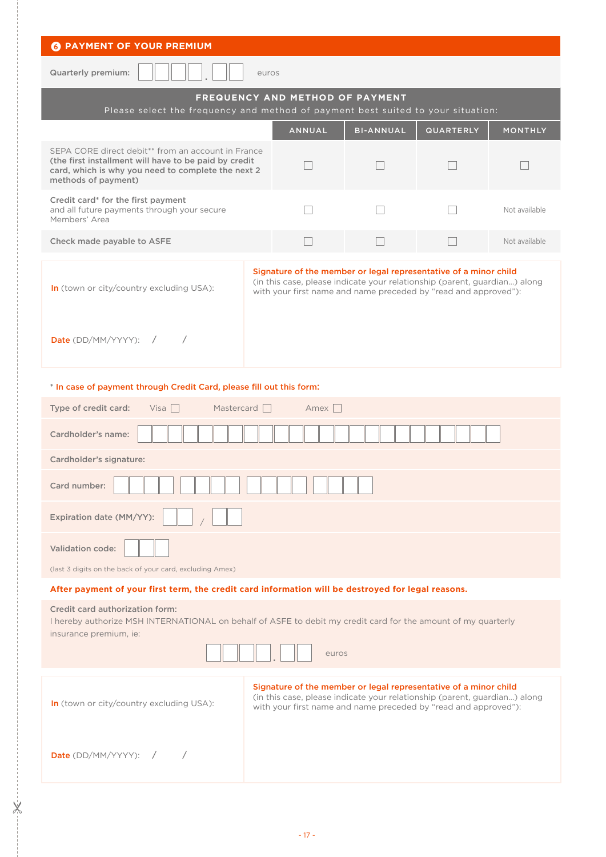| <b>6 PAYMENT OF YOUR PREMIUM</b>                                                                                                                                                                     |                                 |       |                  |                                                                                                                                                                                                                  |                |
|------------------------------------------------------------------------------------------------------------------------------------------------------------------------------------------------------|---------------------------------|-------|------------------|------------------------------------------------------------------------------------------------------------------------------------------------------------------------------------------------------------------|----------------|
| <b>Quarterly premium:</b><br>euros                                                                                                                                                                   |                                 |       |                  |                                                                                                                                                                                                                  |                |
| Please select the frequency and method of payment best suited to your situation:                                                                                                                     | FREQUENCY AND METHOD OF PAYMENT |       |                  |                                                                                                                                                                                                                  |                |
|                                                                                                                                                                                                      | <b>ANNUAL</b>                   |       | <b>BI-ANNUAL</b> | <b>QUARTERLY</b>                                                                                                                                                                                                 | <b>MONTHLY</b> |
| SEPA CORE direct debit <sup>**</sup> from an account in France<br>(the first installment will have to be paid by credit<br>card, which is why you need to complete the next 2<br>methods of payment) |                                 |       |                  |                                                                                                                                                                                                                  |                |
| Credit card* for the first payment<br>and all future payments through your secure<br>Members' Area                                                                                                   |                                 |       |                  |                                                                                                                                                                                                                  | Not available  |
| Check made payable to ASFE                                                                                                                                                                           |                                 |       |                  |                                                                                                                                                                                                                  | Not available  |
| In (town or city/country excluding USA):<br><b>Date</b> (DD/MM/YYYY): $/$                                                                                                                            |                                 |       |                  | Signature of the member or legal representative of a minor child<br>(in this case, please indicate your relationship (parent, guardian) along<br>with your first name and name preceded by "read and approved"): |                |
|                                                                                                                                                                                                      |                                 |       |                  |                                                                                                                                                                                                                  |                |
| * In case of payment through Credit Card, please fill out this form:                                                                                                                                 |                                 |       |                  |                                                                                                                                                                                                                  |                |
| Type of credit card:<br>Visa<br>Mastercard $\Box$                                                                                                                                                    |                                 | Amex  |                  |                                                                                                                                                                                                                  |                |
| Cardholder's name:                                                                                                                                                                                   |                                 |       |                  |                                                                                                                                                                                                                  |                |
| Cardholder's signature:                                                                                                                                                                              |                                 |       |                  |                                                                                                                                                                                                                  |                |
| Card number:                                                                                                                                                                                         |                                 |       |                  |                                                                                                                                                                                                                  |                |
| Expiration date (MM/YY):                                                                                                                                                                             |                                 |       |                  |                                                                                                                                                                                                                  |                |
| <b>Validation code:</b>                                                                                                                                                                              |                                 |       |                  |                                                                                                                                                                                                                  |                |
| (last 3 digits on the back of your card, excluding Amex)                                                                                                                                             |                                 |       |                  |                                                                                                                                                                                                                  |                |
| After payment of your first term, the credit card information will be destroyed for legal reasons.                                                                                                   |                                 |       |                  |                                                                                                                                                                                                                  |                |
| Credit card authorization form:<br>I hereby authorize MSH INTERNATIONAL on behalf of ASFE to debit my credit card for the amount of my quarterly<br>insurance premium, ie:                           |                                 |       |                  |                                                                                                                                                                                                                  |                |
|                                                                                                                                                                                                      |                                 | euros |                  |                                                                                                                                                                                                                  |                |
| In (town or city/country excluding USA):                                                                                                                                                             |                                 |       |                  | Signature of the member or legal representative of a minor child<br>(in this case, please indicate your relationship (parent, guardian) along<br>with your first name and name preceded by "read and approved"): |                |
| <b>Date</b> (DD/MM/YYYY): /                                                                                                                                                                          |                                 |       |                  |                                                                                                                                                                                                                  |                |

 $X<sub>i</sub>$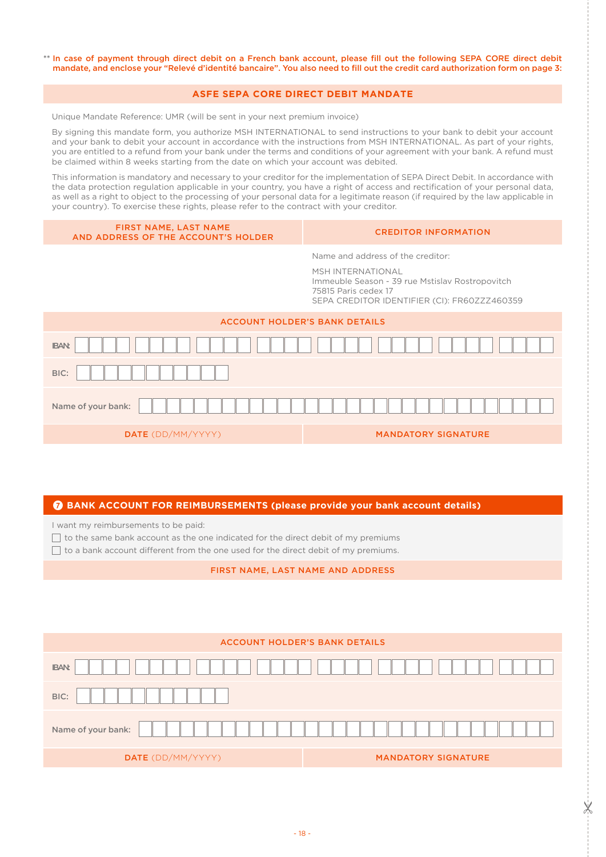\*\* In case of payment through direct debit on a French bank account, please fill out the following SEPA CORE direct debit mandate, and enclose your "Relevé d'identité bancaire". You also need to fill out the credit card authorization form on page 3:

## **ASFE SEPA CORE DIRECT DEBIT MANDATE**

Unique Mandate Reference: UMR (will be sent in your next premium invoice)

By signing this mandate form, you authorize MSH INTERNATIONAL to send instructions to your bank to debit your account and your bank to debit your account in accordance with the instructions from MSH INTERNATIONAL. As part of your rights, you are entitled to a refund from your bank under the terms and conditions of your agreement with your bank. A refund must be claimed within 8 weeks starting from the date on which your account was debited.

This information is mandatory and necessary to your creditor for the implementation of SEPA Direct Debit. In accordance with the data protection regulation applicable in your country, you have a right of access and rectification of your personal data, as well as a right to object to the processing of your personal data for a legitimate reason (if required by the law applicable in your country). To exercise these rights, please refer to the contract with your creditor.

| <b>FIRST NAME, LAST NAME</b><br>AND ADDRESS OF THE ACCOUNT'S HOLDER | <b>CREDITOR INFORMATION</b>                                                                                                                                                       |
|---------------------------------------------------------------------|-----------------------------------------------------------------------------------------------------------------------------------------------------------------------------------|
|                                                                     | Name and address of the creditor:<br>MSH INTERNATIONAL<br>Immeuble Season - 39 rue Mstislav Rostropovitch<br>75815 Paris cedex 17<br>SEPA CREDITOR IDENTIFIER (CI): FR60ZZZ460359 |
| <b>ACCOUNT HOLDER'S BANK DETAILS</b>                                |                                                                                                                                                                                   |
| <b>IBAN:</b>                                                        |                                                                                                                                                                                   |
| BIC:                                                                |                                                                                                                                                                                   |
| Name of your bank:                                                  |                                                                                                                                                                                   |
| <b>DATE</b> (DD/MM/YYYY)                                            | <b>MANDATORY SIGNATURE</b>                                                                                                                                                        |

#### 7 **BANK ACCOUNT FOR REIMBURSEMENTS (please provide your bank account details)**

I want my reimbursements to be paid:

 $\Box$  to the same bank account as the one indicated for the direct debit of my premiums

 $\Box$  to a bank account different from the one used for the direct debit of my premiums.

FIRST NAME, LAST NAME AND ADDRESS

|                    | <b>ACCOUNT HOLDER'S BANK DETAILS</b> |
|--------------------|--------------------------------------|
| <b>IBAN:</b>       |                                      |
| BIC:               |                                      |
| Name of your bank: |                                      |
| DATE (DD/MM/YYYY)  | <b>MANDATORY SIGNATURE</b>           |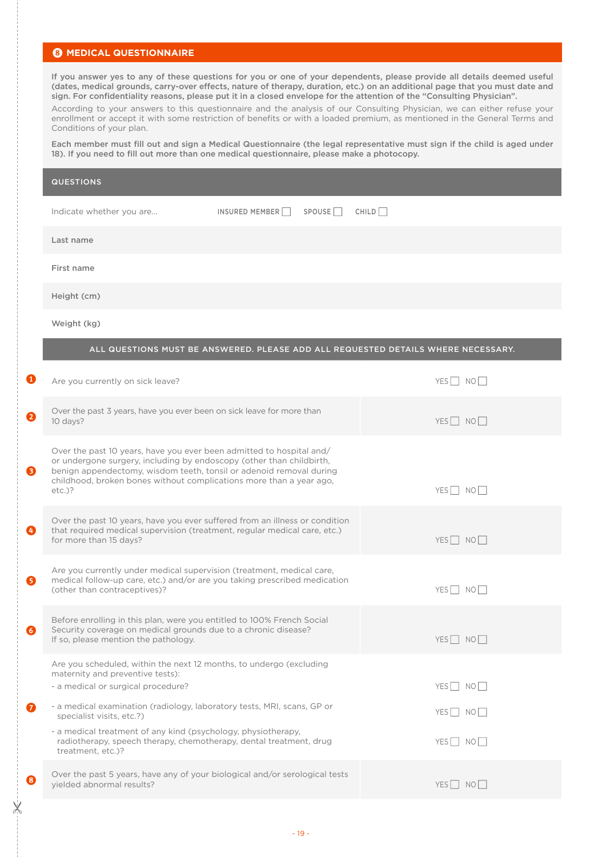## **8** MEDICAL QUESTIONNAIRE

 $\overline{\mathsf{X}}$ 

If you answer yes to any of these questions for you or one of your dependents, please provide all details deemed useful (dates, medical grounds, carry-over effects, nature of therapy, duration, etc.) on an additional page that you must date and sign. For confidentiality reasons, please put it in a closed envelope for the attention of the "Consulting Physician".

According to your answers to this questionnaire and the analysis of our Consulting Physician, we can either refuse your enrollment or accept it with some restriction of benefits or with a loaded premium, as mentioned in the General Terms and Conditions of your plan.

Each member must fill out and sign a Medical Questionnaire (the legal representative must sign if the child is aged under 18). If you need to fill out more than one medical questionnaire, please make a photocopy.

|   | <b>QUESTIONS</b>                 |                |                    |                                                                                   |
|---|----------------------------------|----------------|--------------------|-----------------------------------------------------------------------------------|
|   | Indicate whether you are         | INSURED MEMBER | SPOUSE <sup></sup> | CHILD                                                                             |
|   | Last name                        |                |                    |                                                                                   |
|   | First name                       |                |                    |                                                                                   |
|   | Height (cm)                      |                |                    |                                                                                   |
|   | Weight (kg)                      |                |                    |                                                                                   |
|   |                                  |                |                    | ALL QUESTIONS MUST BE ANSWERED. PLEASE ADD ALL REQUESTED DETAILS WHERE NECESSARY. |
| ❶ | Are you currently on sick leave? |                |                    | NO<br><b>YES</b>                                                                  |

| 2         | Over the past 3 years, have you ever been on sick leave for more than<br>10 days?                                                                                                                                                                                                                       | $YES$ NO                                 |
|-----------|---------------------------------------------------------------------------------------------------------------------------------------------------------------------------------------------------------------------------------------------------------------------------------------------------------|------------------------------------------|
| ❸         | Over the past 10 years, have you ever been admitted to hospital and/<br>or undergone surgery, including by endoscopy (other than childbirth,<br>benign appendectomy, wisdom teeth, tonsil or adenoid removal during<br>childhood, broken bones without complications more than a year ago,<br>$etc.$ )? | YES NO                                   |
| ❹         | Over the past 10 years, have you ever suffered from an illness or condition<br>that required medical supervision (treatment, regular medical care, etc.)<br>for more than 15 days?                                                                                                                      | $YES \nightharpoonup NO \nightharpoonup$ |
| ❺         | Are you currently under medical supervision (treatment, medical care,<br>medical follow-up care, etc.) and/or are you taking prescribed medication<br>(other than contraceptives)?                                                                                                                      | YES NO                                   |
| 6         | Before enrolling in this plan, were you entitled to 100% French Social<br>Security coverage on medical grounds due to a chronic disease?<br>If so, please mention the pathology.                                                                                                                        | YES NO                                   |
|           | Are you scheduled, within the next 12 months, to undergo (excluding<br>maternity and preventive tests):<br>- a medical or surgical procedure?                                                                                                                                                           | YES NO                                   |
| $\bullet$ | - a medical examination (radiology, laboratory tests, MRI, scans, GP or<br>specialist visits, etc.?)                                                                                                                                                                                                    | YES NO                                   |
|           | - a medical treatment of any kind (psychology, physiotherapy,<br>radiotherapy, speech therapy, chemotherapy, dental treatment, drug<br>treatment, etc.)?                                                                                                                                                | $YES$ NO                                 |
| ❸         | Over the past 5 years, have any of your biological and/or serological tests<br>yielded abnormal results?                                                                                                                                                                                                | YESI NOI                                 |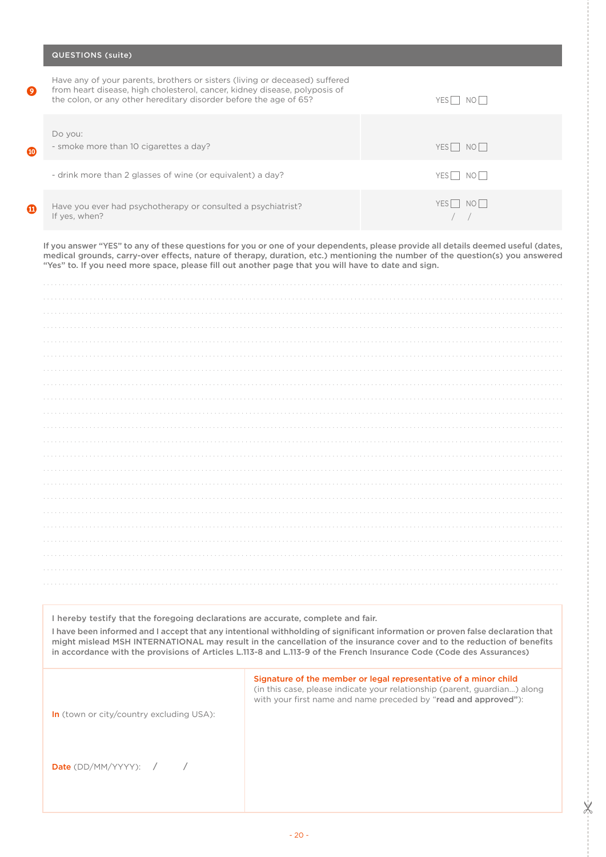|   | <b>QUESTIONS (suite)</b>                                                                                                                                                                                                       |                                          |
|---|--------------------------------------------------------------------------------------------------------------------------------------------------------------------------------------------------------------------------------|------------------------------------------|
| 0 | Have any of your parents, brothers or sisters (living or deceased) suffered<br>from heart disease, high cholesterol, cancer, kidney disease, polyposis of<br>the colon, or any other hereditary disorder before the age of 65? | NO II<br><b>YES</b>                      |
| ⋒ | Do you:<br>- smoke more than 10 cigarettes a day?                                                                                                                                                                              | $YES \nightharpoonup NO \nightharpoonup$ |
|   | - drink more than 2 glasses of wine (or equivalent) a day?                                                                                                                                                                     | I NOI I<br>YES I                         |
| ⋒ | Have you ever had psychotherapy or consulted a psychiatrist?<br>If yes, when?                                                                                                                                                  | NO <br>YES                               |

If you answer "YES" to any of these questions for you or one of your dependents, please provide all details deemed useful (dates, medical grounds, carry-over effects, nature of therapy, duration, etc.) mentioning the number of the question(s) you answered "Yes" to. If you need more space, please fill out another page that you will have to date and sign.

I hereby testify that the foregoing declarations are accurate, complete and fair.

I have been informed and I accept that any intentional withholding of significant information or proven false declaration that might mislead MSH INTERNATIONAL may result in the cancellation of the insurance cover and to the reduction of benefits in accordance with the provisions of Articles L.113-8 and L.113-9 of the French Insurance Code (Code des Assurances)

> Signature of the member or legal representative of a minor child (in this case, please indicate your relationship (parent, guardian...) along with your first name and name preceded by "read and approved"):

> > $\mathbb{X}$

In (town or city/country excluding USA):

| Date (DD/MM/YYYY): |  |  |
|--------------------|--|--|
|--------------------|--|--|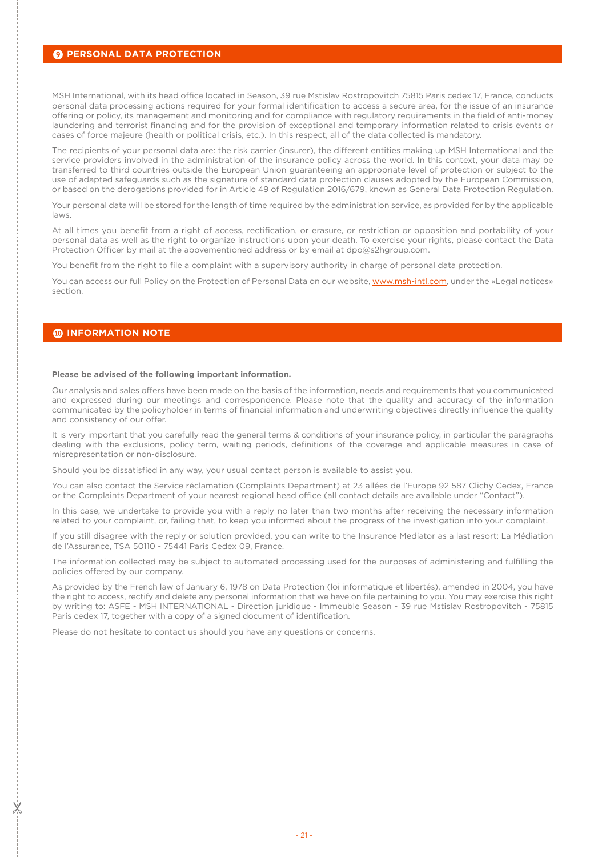### **9 PERSONAL DATA PROTECTION**

MSH International, with its head office located in Season, 39 rue Mstislav Rostropovitch 75815 Paris cedex 17, France, conducts personal data processing actions required for your formal identification to access a secure area, for the issue of an insurance offering or policy, its management and monitoring and for compliance with regulatory requirements in the field of anti-money laundering and terrorist financing and for the provision of exceptional and temporary information related to crisis events or cases of force majeure (health or political crisis, etc.). In this respect, all of the data collected is mandatory.

The recipients of your personal data are: the risk carrier (insurer), the different entities making up MSH International and the service providers involved in the administration of the insurance policy across the world. In this context, your data may be transferred to third countries outside the European Union guaranteeing an appropriate level of protection or subject to the use of adapted safeguards such as the signature of standard data protection clauses adopted by the European Commission, or based on the derogations provided for in Article 49 of Regulation 2016/679, known as General Data Protection Regulation.

Your personal data will be stored for the length of time required by the administration service, as provided for by the applicable laws.

At all times you benefit from a right of access, rectification, or erasure, or restriction or opposition and portability of your personal data as well as the right to organize instructions upon your death. To exercise your rights, please contact the Data Protection Officer by mail at the abovementioned address or by email at dpo@s2hgroup.com.

You benefit from the right to file a complaint with a supervisory authority in charge of personal data protection.

You can access our full Policy on the Protection of Personal Data on our website, www.msh-intl.com, under the «Legal notices» section.

# 0 **INFORMATION NOTE**

#### **Please be advised of the following important information.**

Our analysis and sales offers have been made on the basis of the information, needs and requirements that you communicated and expressed during our meetings and correspondence. Please note that the quality and accuracy of the information communicated by the policyholder in terms of financial information and underwriting objectives directly influence the quality and consistency of our offer.

It is very important that you carefully read the general terms & conditions of your insurance policy, in particular the paragraphs dealing with the exclusions, policy term, waiting periods, definitions of the coverage and applicable measures in case of misrepresentation or non-disclosure.

Should you be dissatisfied in any way, your usual contact person is available to assist you.

You can also contact the Service réclamation (Complaints Department) at 23 allées de l'Europe 92 587 Clichy Cedex, France or the Complaints Department of your nearest regional head office (all contact details are available under "Contact").

In this case, we undertake to provide you with a reply no later than two months after receiving the necessary information related to your complaint, or, failing that, to keep you informed about the progress of the investigation into your complaint.

If you still disagree with the reply or solution provided, you can write to the Insurance Mediator as a last resort: La Médiation de l'Assurance, TSA 50110 - 75441 Paris Cedex 09, France.

The information collected may be subject to automated processing used for the purposes of administering and fulfilling the policies offered by our company.

As provided by the French law of January 6, 1978 on Data Protection (loi informatique et libertés), amended in 2004, you have the right to access, rectify and delete any personal information that we have on file pertaining to you. You may exercise this right by writing to: ASFE - MSH lNTERNATlONAL - Direction juridique - Immeuble Season - 39 rue Mstislav Rostropovitch - 75815 Paris cedex 17, together with a copy of a signed document of identification.

Please do not hesitate to contact us should you have any questions or concerns.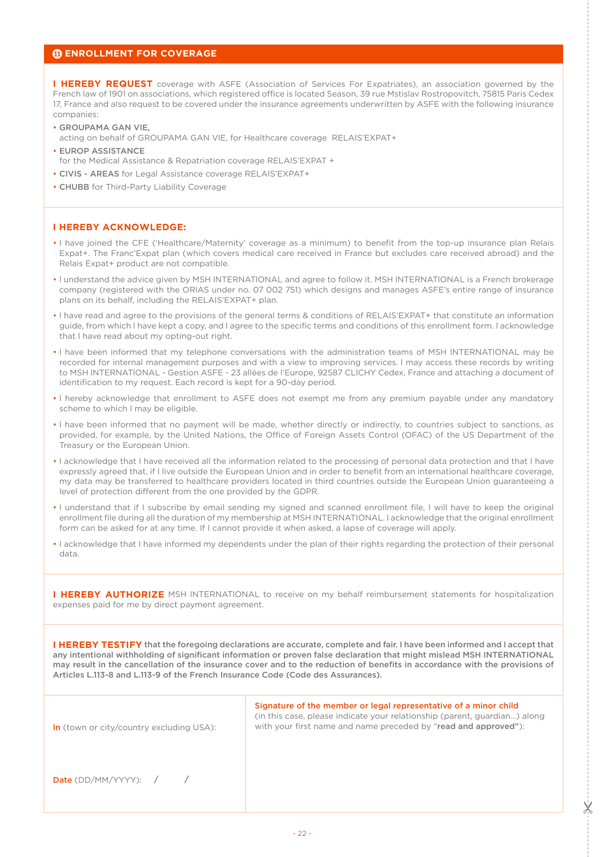## *<b>@ ENROLLMENT FOR COVERAGE*

**I HEREBY REQUEST** coverage with ASFE (Association of Services For Expatriates), an association governed by the French law of 1901 on associations, which registered office is located Season, 39 rue Mstislav Rostropovitch, 75815 Paris Cedex 17, France and also request to be covered under the insurance agreements underwritten by ASFE with the following insurance companies:

- GROUPAMA GAN VIE,
- acting on behalf of GROUPAMA GAN VlE, for Healthcare coverage RELAIS'EXPAT+
- EUROP ASSISTANCE
- for the Medical Assistance & Repatriation coverage RELAIS'EXPAT +
- CIVIS AREAS for Legal Assistance coverage RELAIS'EXPAT+
- CHUBB for Third-Party Liability Coverage

# **I HEREBY ACKNOWLEDGE:**

- I have joined the CFE ('Healthcare/Maternity' coverage as a minimum) to benefit from the top-up insurance plan Relais Expat+. The Franc'Expat plan (which covers medical care received in France but excludes care received abroad) and the Relais Expat+ product are not compatible.
- l understand the advice given by MSH lNTERNATlONAL and agree to follow it. MSH lNTERNATlONAL is a French brokerage company (registered with the ORlAS under no. 07 002 751) which designs and manages ASFE's entire range of insurance plans on its behalf, including the RELAIS'EXPAT+ plan.
- l have read and agree to the provisions of the general terms & conditions of RELAIS'EXPAT+ that constitute an information guide, from which l have kept a copy, and l agree to the specific terms and conditions of this enrollment form. l acknowledge that l have read about my opting-out right.
- l have been informed that my telephone conversations with the administration teams of MSH lNTERNATlONAL may be recorded for internal management purposes and with a view to improving services. l may access these records by writing to MSH lNTERNATlONAL - Gestion ASFE - 23 allées de l'Europe, 92587 CLlCHY Cedex, France and attaching a document of identification to my request. Each record is kept for a 90-day period.
- l hereby acknowledge that enrollment to ASFE does not exempt me from any premium payable under any mandatory scheme to which l may be eligible.
- l have been informed that no payment will be made, whether directly or indirectly, to countries subject to sanctions, as provided, for example, by the United Nations, the Office of Foreign Assets Control (OFAC) of the US Department of the Treasury or the European Union.
- I acknowledge that I have received all the information related to the processing of personal data protection and that I have expressly agreed that, if I live outside the European Union and in order to benefit from an international healthcare coverage, my data may be transferred to healthcare providers located in third countries outside the European Union guaranteeing a level of protection different from the one provided by the GDPR.
- I understand that if I subscribe by email sending my signed and scanned enrollment file, I will have to keep the original enrollment file during all the duration of my membership at MSH INTERNATIONAL. I acknowledge that the original enrollment form can be asked for at any time. If I cannot provide it when asked, a lapse of coverage will apply.
- I acknowledge that I have informed my dependents under the plan of their rights regarding the protection of their personal data.

**I HEREBY AUTHORIZE** MSH INTERNATIONAL to receive on my behalf reimbursement statements for hospitalization expenses paid for me by direct payment agreement.

**I HEREBY TESTIFY** that the foregoing declarations are accurate, complete and fair. I have been informed and I accept that any intentional withholding of significant information or proven false declaration that might mislead MSH INTERNATIONAL may result in the cancellation of the insurance cover and to the reduction of benefits in accordance with the provisions of Articles L.113-8 and L.113-9 of the French Insurance Code (Code des Assurances).

| <b>In</b> (town or city/country excluding USA): | Signature of the member or legal representative of a minor child<br>(in this case, please indicate your relationship (parent, guardian) along<br>with your first name and name preceded by "read and approved"): |
|-------------------------------------------------|------------------------------------------------------------------------------------------------------------------------------------------------------------------------------------------------------------------|
| <b>Date</b> (DD/MM/YYYY): $/$                   |                                                                                                                                                                                                                  |